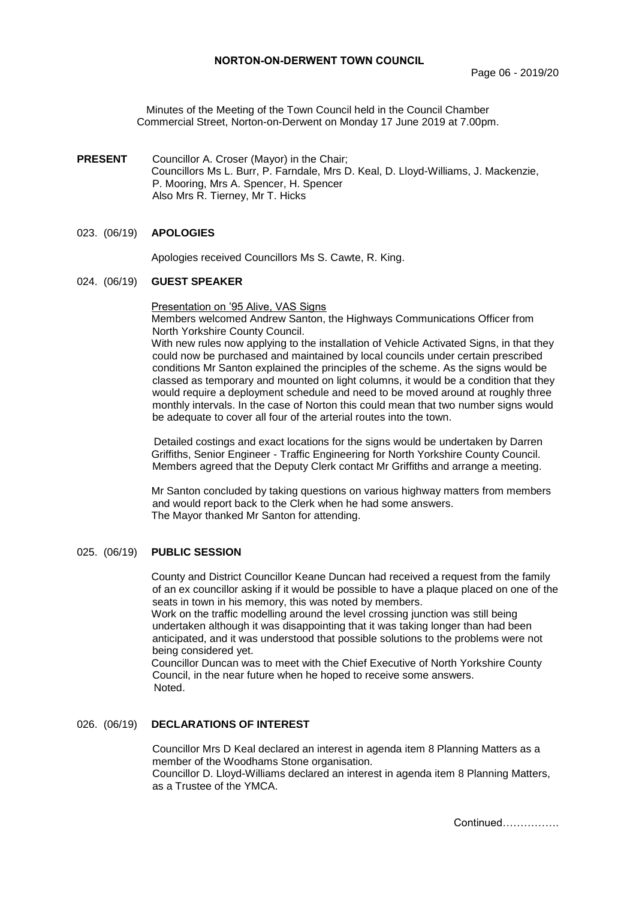Minutes of the Meeting of the Town Council held in the Council Chamber Commercial Street, Norton-on-Derwent on Monday 17 June 2019 at 7.00pm.

**PRESENT** Councillor A. Croser (Mayor) in the Chair; Councillors Ms L. Burr, P. Farndale, Mrs D. Keal, D. Lloyd-Williams, J. Mackenzie, P. Mooring, Mrs A. Spencer, H. Spencer Also Mrs R. Tierney, Mr T. Hicks

### 023. (06/19) **APOLOGIES**

Apologies received Councillors Ms S. Cawte, R. King.

#### 024. (06/19) **GUEST SPEAKER**

Presentation on '95 Alive, VAS Signs

Members welcomed Andrew Santon, the Highways Communications Officer from North Yorkshire County Council.

With new rules now applying to the installation of Vehicle Activated Signs, in that they could now be purchased and maintained by local councils under certain prescribed conditions Mr Santon explained the principles of the scheme. As the signs would be classed as temporary and mounted on light columns, it would be a condition that they would require a deployment schedule and need to be moved around at roughly three monthly intervals. In the case of Norton this could mean that two number signs would be adequate to cover all four of the arterial routes into the town.

Detailed costings and exact locations for the signs would be undertaken by Darren Griffiths, Senior Engineer - Traffic Engineering for North Yorkshire County Council. Members agreed that the Deputy Clerk contact Mr Griffiths and arrange a meeting.

Mr Santon concluded by taking questions on various highway matters from members and would report back to the Clerk when he had some answers. The Mayor thanked Mr Santon for attending.

### 025. (06/19) **PUBLIC SESSION**

County and District Councillor Keane Duncan had received a request from the family of an ex councillor asking if it would be possible to have a plaque placed on one of the seats in town in his memory, this was noted by members.

Work on the traffic modelling around the level crossing junction was still being undertaken although it was disappointing that it was taking longer than had been anticipated, and it was understood that possible solutions to the problems were not being considered yet.

Councillor Duncan was to meet with the Chief Executive of North Yorkshire County Council, in the near future when he hoped to receive some answers. Noted.

# 026. (06/19) **DECLARATIONS OF INTEREST**

Councillor Mrs D Keal declared an interest in agenda item 8 Planning Matters as a member of the Woodhams Stone organisation. Councillor D. Lloyd-Williams declared an interest in agenda item 8 Planning Matters, as a Trustee of the YMCA.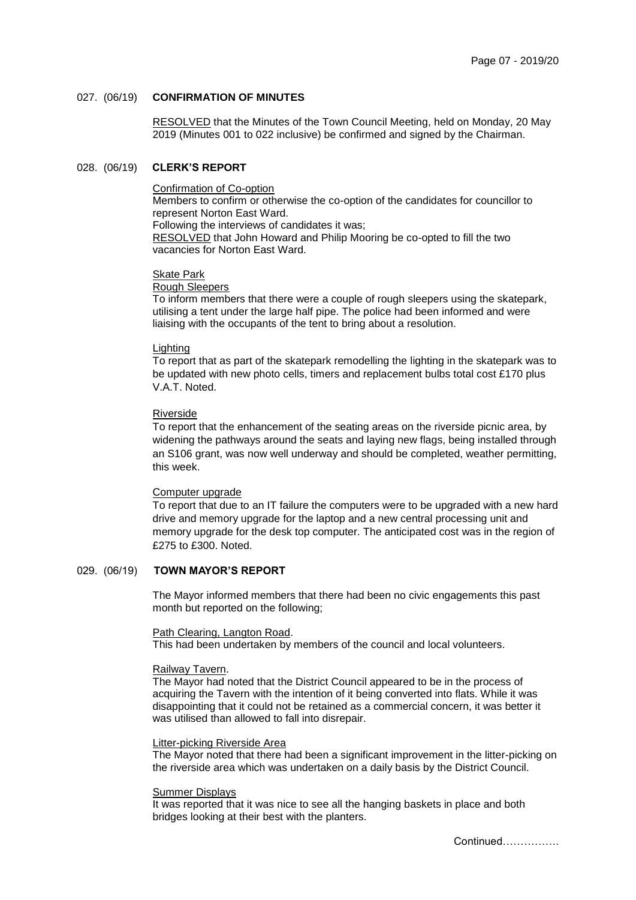## 027. (06/19) **CONFIRMATION OF MINUTES**

 RESOLVED that the Minutes of the Town Council Meeting, held on Monday, 20 May 2019 (Minutes 001 to 022 inclusive) be confirmed and signed by the Chairman.

### 028. (06/19) **CLERK'S REPORT**

#### Confirmation of Co-option

Members to confirm or otherwise the co-option of the candidates for councillor to represent Norton East Ward. Following the interviews of candidates it was;

RESOLVED that John Howard and Philip Mooring be co-opted to fill the two

vacancies for Norton East Ward.

Skate Park

Rough Sleepers

To inform members that there were a couple of rough sleepers using the skatepark, utilising a tent under the large half pipe. The police had been informed and were liaising with the occupants of the tent to bring about a resolution.

## Lighting

To report that as part of the skatepark remodelling the lighting in the skatepark was to be updated with new photo cells, timers and replacement bulbs total cost £170 plus V.A.T. Noted.

### Riverside

To report that the enhancement of the seating areas on the riverside picnic area, by widening the pathways around the seats and laying new flags, being installed through an S106 grant, was now well underway and should be completed, weather permitting, this week.

# Computer upgrade

To report that due to an IT failure the computers were to be upgraded with a new hard drive and memory upgrade for the laptop and a new central processing unit and memory upgrade for the desk top computer. The anticipated cost was in the region of £275 to £300. Noted.

# 029. (06/19) **TOWN MAYOR'S REPORT**

The Mayor informed members that there had been no civic engagements this past month but reported on the following;

#### Path Clearing, Langton Road.

This had been undertaken by members of the council and local volunteers.

#### Railway Tavern.

The Mayor had noted that the District Council appeared to be in the process of acquiring the Tavern with the intention of it being converted into flats. While it was disappointing that it could not be retained as a commercial concern, it was better it was utilised than allowed to fall into disrepair.

#### Litter-picking Riverside Area

The Mayor noted that there had been a significant improvement in the litter-picking on the riverside area which was undertaken on a daily basis by the District Council.

#### Summer Displays

It was reported that it was nice to see all the hanging baskets in place and both bridges looking at their best with the planters.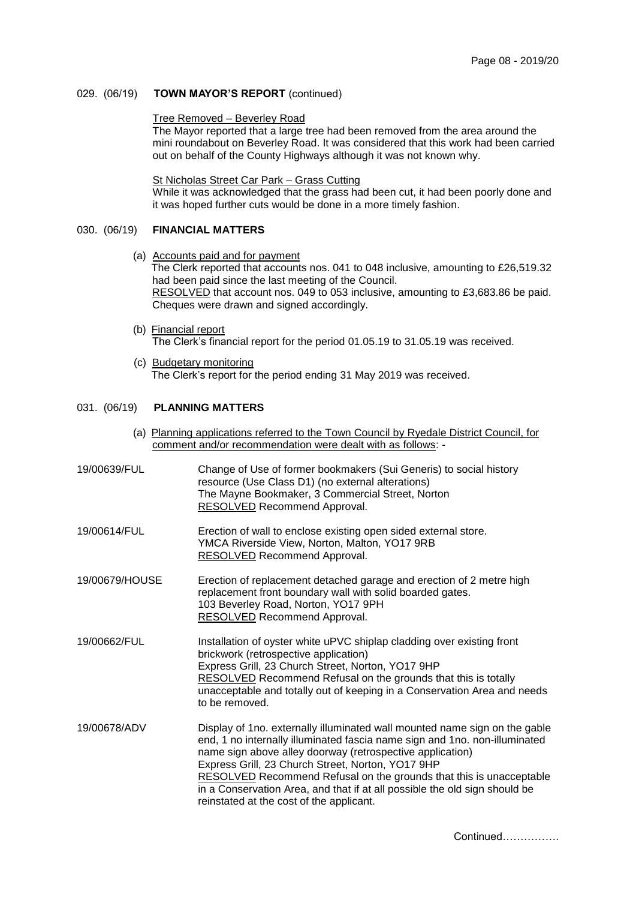### 029. (06/19) **TOWN MAYOR'S REPORT** (continued)

#### Tree Removed – Beverley Road

The Mayor reported that a large tree had been removed from the area around the mini roundabout on Beverley Road. It was considered that this work had been carried out on behalf of the County Highways although it was not known why.

St Nicholas Street Car Park – Grass Cutting

While it was acknowledged that the grass had been cut, it had been poorly done and it was hoped further cuts would be done in a more timely fashion.

# 030. (06/19) **FINANCIAL MATTERS**

(a) Accounts paid and for payment

The Clerk reported that accounts nos. 041 to 048 inclusive, amounting to £26,519.32 had been paid since the last meeting of the Council.

RESOLVED that account nos. 049 to 053 inclusive, amounting to £3,683.86 be paid. Cheques were drawn and signed accordingly.

(b) Financial report

The Clerk's financial report for the period 01.05.19 to 31.05.19 was received.

(c) Budgetary monitoring The Clerk's report for the period ending 31 May 2019 was received.

### 031. (06/19) **PLANNING MATTERS**

(a) Planning applications referred to the Town Council by Ryedale District Council, for comment and/or recommendation were dealt with as follows: -

| 19/00639/FUL   | Change of Use of former bookmakers (Sui Generis) to social history<br>resource (Use Class D1) (no external alterations)<br>The Mayne Bookmaker, 3 Commercial Street, Norton<br>RESOLVED Recommend Approval.                                                                                                                                                                                                                                                                 |
|----------------|-----------------------------------------------------------------------------------------------------------------------------------------------------------------------------------------------------------------------------------------------------------------------------------------------------------------------------------------------------------------------------------------------------------------------------------------------------------------------------|
| 19/00614/FUL   | Erection of wall to enclose existing open sided external store.<br>YMCA Riverside View, Norton, Malton, YO17 9RB<br><b>RESOLVED</b> Recommend Approval.                                                                                                                                                                                                                                                                                                                     |
| 19/00679/HOUSE | Erection of replacement detached garage and erection of 2 metre high<br>replacement front boundary wall with solid boarded gates.<br>103 Beverley Road, Norton, YO17 9PH<br><b>RESOLVED Recommend Approval.</b>                                                                                                                                                                                                                                                             |
| 19/00662/FUL   | Installation of oyster white uPVC shiplap cladding over existing front<br>brickwork (retrospective application)<br>Express Grill, 23 Church Street, Norton, YO17 9HP<br>RESOLVED Recommend Refusal on the grounds that this is totally<br>unacceptable and totally out of keeping in a Conservation Area and needs<br>to be removed.                                                                                                                                        |
| 19/00678/ADV   | Display of 1no. externally illuminated wall mounted name sign on the gable<br>end, 1 no internally illuminated fascia name sign and 1no. non-illuminated<br>name sign above alley doorway (retrospective application)<br>Express Grill, 23 Church Street, Norton, YO17 9HP<br>RESOLVED Recommend Refusal on the grounds that this is unacceptable<br>in a Conservation Area, and that if at all possible the old sign should be<br>reinstated at the cost of the applicant. |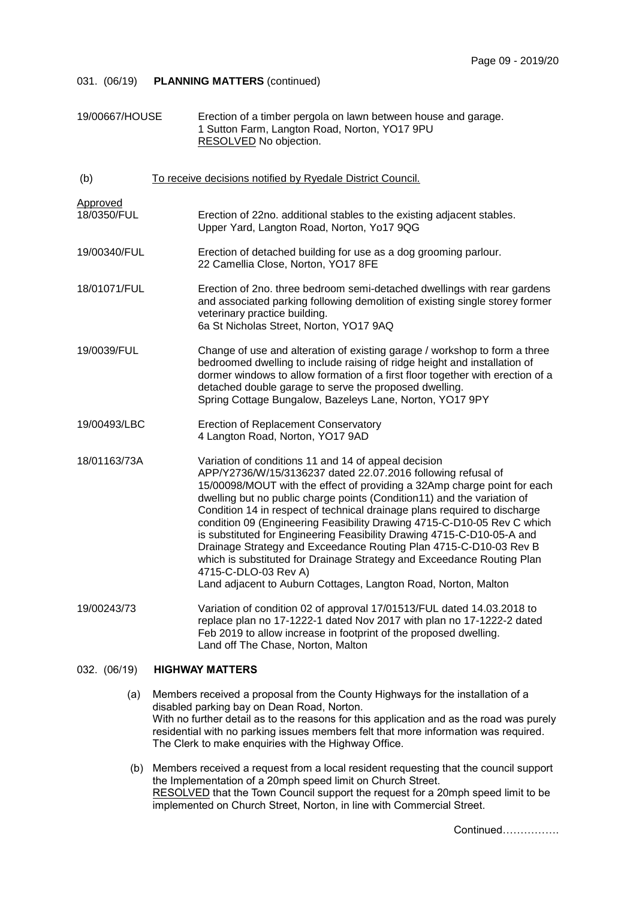| 19/00667/HOUSE          | Erection of a timber pergola on lawn between house and garage.<br>1 Sutton Farm, Langton Road, Norton, YO17 9PU<br>RESOLVED No objection.                                                                                                                                                                                                                                                                                                                                                                                                                                                                                                                                                                                                              |
|-------------------------|--------------------------------------------------------------------------------------------------------------------------------------------------------------------------------------------------------------------------------------------------------------------------------------------------------------------------------------------------------------------------------------------------------------------------------------------------------------------------------------------------------------------------------------------------------------------------------------------------------------------------------------------------------------------------------------------------------------------------------------------------------|
| (b)                     | To receive decisions notified by Ryedale District Council.                                                                                                                                                                                                                                                                                                                                                                                                                                                                                                                                                                                                                                                                                             |
| Approved<br>18/0350/FUL | Erection of 22no. additional stables to the existing adjacent stables.<br>Upper Yard, Langton Road, Norton, Yo17 9QG                                                                                                                                                                                                                                                                                                                                                                                                                                                                                                                                                                                                                                   |
| 19/00340/FUL            | Erection of detached building for use as a dog grooming parlour.<br>22 Camellia Close, Norton, YO17 8FE                                                                                                                                                                                                                                                                                                                                                                                                                                                                                                                                                                                                                                                |
| 18/01071/FUL            | Erection of 2no. three bedroom semi-detached dwellings with rear gardens<br>and associated parking following demolition of existing single storey former<br>veterinary practice building.<br>6a St Nicholas Street, Norton, YO17 9AQ                                                                                                                                                                                                                                                                                                                                                                                                                                                                                                                   |
| 19/0039/FUL             | Change of use and alteration of existing garage / workshop to form a three<br>bedroomed dwelling to include raising of ridge height and installation of<br>dormer windows to allow formation of a first floor together with erection of a<br>detached double garage to serve the proposed dwelling.<br>Spring Cottage Bungalow, Bazeleys Lane, Norton, YO17 9PY                                                                                                                                                                                                                                                                                                                                                                                        |
| 19/00493/LBC            | <b>Erection of Replacement Conservatory</b><br>4 Langton Road, Norton, YO17 9AD                                                                                                                                                                                                                                                                                                                                                                                                                                                                                                                                                                                                                                                                        |
| 18/01163/73A            | Variation of conditions 11 and 14 of appeal decision<br>APP/Y2736/W/15/3136237 dated 22.07.2016 following refusal of<br>15/00098/MOUT with the effect of providing a 32Amp charge point for each<br>dwelling but no public charge points (Condition11) and the variation of<br>Condition 14 in respect of technical drainage plans required to discharge<br>condition 09 (Engineering Feasibility Drawing 4715-C-D10-05 Rev C which<br>is substituted for Engineering Feasibility Drawing 4715-C-D10-05-A and<br>Drainage Strategy and Exceedance Routing Plan 4715-C-D10-03 Rev B<br>which is substituted for Drainage Strategy and Exceedance Routing Plan<br>4715-C-DLO-03 Rev A)<br>Land adjacent to Auburn Cottages, Langton Road, Norton, Malton |
| 19/00243/73             | Variation of condition 02 of approval 17/01513/FUL dated 14.03.2018 to<br>replace plan no 17-1222-1 dated Nov 2017 with plan no 17-1222-2 dated<br>Feb 2019 to allow increase in footprint of the proposed dwelling.<br>Land off The Chase, Norton, Malton                                                                                                                                                                                                                                                                                                                                                                                                                                                                                             |

## 032. (06/19) **HIGHWAY MATTERS**

- (a) Members received a proposal from the County Highways for the installation of a disabled parking bay on Dean Road, Norton. With no further detail as to the reasons for this application and as the road was purely residential with no parking issues members felt that more information was required. The Clerk to make enquiries with the Highway Office.
- (b) Members received a request from a local resident requesting that the council support the Implementation of a 20mph speed limit on Church Street. RESOLVED that the Town Council support the request for a 20mph speed limit to be implemented on Church Street, Norton, in line with Commercial Street.